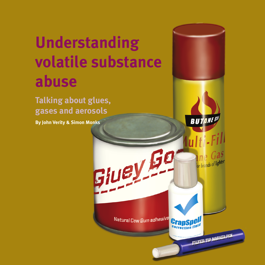# **Understanding volatile substance abuse**

**Talking about glues, gases and aerosols**

**By John Verity & Simon Monks**

Natural Cow Gum adhesive

Giuey Go

*Understanding volatile substance abuse*

FILTER TIP MARKER PEN

**CrapS** 

**BUTANE!** 

**a III** Corporate Separated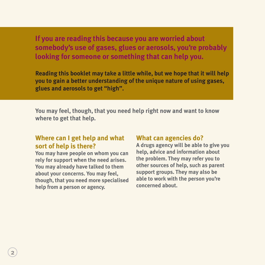**If you are reading this because you are worried about somebody's use of gases, glues or aerosols, you're probably looking for someone or something that can help you.**

**Reading this booklet may take a little while, but we hope that it will help you to gain a better understanding of the unique nature of using gases, glues and aerosols to get "high".** 

**You may feel, though, that you need help right now and want to know where to get that help.**

### **Where can I get help and what sort of help is there?**

**You may have people on whom you can rely for support when the need arises. You may already have talked to them about your concerns. You may feel, though, that you need more specialised help from a person or agency.**

#### **What can agencies do?**

**A drugs agency will be able to give you help, advice and information about the problem. They may refer you to other sources of help, such as parent support groups. They may also be able to work with the person you're concerned about.**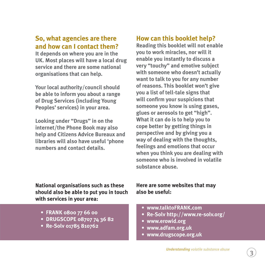# **So, what agencies are there and how can I contact them?**

**It depends on where you are in the UK. Most places will have a local drug service and there are some national organisations that can help.** 

**Your local authority/council should be able to inform you about a range of Drug Services (including Young Peoples' services) in your area.** 

**Looking under "Drugs" in on the internet/the Phone Book may also help and Citizens Advice Bureaux and libraries will also have useful 'phone numbers and contact details.**

**National organisations such as these should also be able to put you in touch with services in your area:**

- **• FRANK 0800 77 66 00**
- **• DRUGSCOPE 08707 74 36 82**
- **• Re-Solv 01785 810762**

# **How can this booklet help?**

**Reading this booklet will not enable you to work miracles, nor will it enable you instantly to discuss a very "touchy" and emotive subject with someone who doesn't actually want to talk to you for any number of reasons. This booklet won't give you a list of tell-tale signs that will confirm your suspicions that someone you know is using gases, glues or aerosols to get "high". What it can do is to help you to cope better by getting things in perspective and by giving you a way of dealing with the thoughts, feelings and emotions that occur when you think you are dealing with someone who is involved in volatile substance abuse.**

#### **Here are some websites that may also be useful:**

- **• www.talktoFRANK.com**
- **• Re-Solv http://www.re-solv.org/**
- **• www.erowid.org**
- **• www.adfam.org.uk**
- **• www.drugscope.org.uk**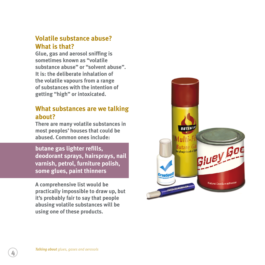# **Volatile substance abuse? What is that?**

**Glue, gas and aerosol sniffing is sometimes known as "volatile substance abuse" or "solvent abuse". It is: the deliberate inhalation of the volatile vapours from a range of substances with the intention of getting "high" or intoxicated.**

# **What substances are we talking about?**

**There are many volatile substances in most peoples' houses that could be abused. Common ones include:**

**butane gas lighter refills, deodorant sprays, hairsprays, nail varnish, petrol, furniture polish, some glues, paint thinners**

**A comprehensive list would be practically impossible to draw up, but it's probably fair to say that people abusing volatile substances will be using one of these products.**

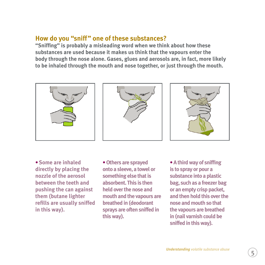# **How do you "sniff" one of these substances?**

**"Sniffing" is probably a misleading word when we think about how these substances are used because it makes us think that the vapours enter the body through the nose alone. Gases, glues and aerosols are, in fact, more likely to be inhaled through the mouth and nose together, or just through the mouth.**







**• Some are inhaled directly by placing the nozzle of the aerosol between the teeth and pushing the can against them (butane lighter refills are usually sniffed in this way).**

**• Others are sprayed onto a sleeve, a towel or something else that is absorbent. This is then held over the nose and mouth and the vapours are breathed in (deodorant sprays are often sniffed in this way).**

**• A third way of sniffing is to spray or pour a substance into a plastic bag, such as a freezer bag or an empty crisp packet, and then hold this over the nose and mouth so that the vapours are breathed in (nail varnish could be sniffed in this way).**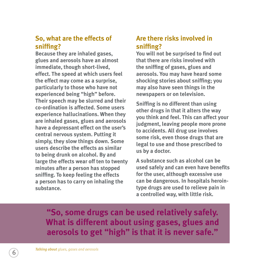# **So, what are the effects of sniffing?**

**Because they are inhaled gases, glues and aerosols have an almost immediate, though short-lived, effect. The speed at which users feel the effect may come as a surprise, particularly to those who have not experienced being "high" before. Their speech may be slurred and their co-ordination is affected. Some users experience hallucinations. When they are inhaled gases, glues and aerosols have a depressant effect on the user's central nervous system. Putting it simply, they slow things down. Some users describe the effects as similar to being drunk on alcohol. By and large the effects wear off ten to twenty minutes after a person has stopped sniffing. To keep feeling the effects a person has to carry on inhaling the substance.**

# **Are there risks involved in sniffing?**

**You will not be surprised to find out that there are risks involved with the sniffing of gases, glues and aerosols. You may have heard some shocking stories about sniffing; you may also have seen things in the newspapers or on television.** 

**Sniffing is no different than using other drugs in that it alters the way you think and feel. This can affect your judgment, leaving people more prone to accidents. All drug use involves some risk, even those drugs that are legal to use and those prescribed to us by a doctor.** 

**A substance such as alcohol can be used safely and can even have benefits for the user, although excessive use can be dangerous. In hospitals herointype drugs are used to relieve pain in a controlled way, with little risk.**

**"So, some drugs can be used relatively safely. What is different about using gases, glues and aerosols to get "high" is that it is never safe."**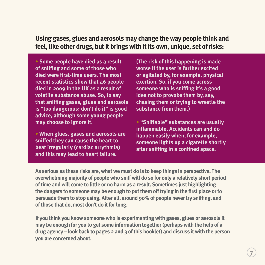**Using gases, glues and aerosols may change the way people think and feel, like other drugs, but it brings with it its own, unique, set of risks:**

**• Some people have died as a result of sniffing and some of those who died were first-time users. The most recent statistics show that 46 people died in 2009 in the UK as a result of volatile substance abuse. So, to say that sniffing gases, glues and aerosols is "too dangerous: don't do it" is good advice, although some young people may choose to ignore it.**

**• When glues, gases and aerosols are sniffed they can cause the heart to beat irregularly (cardiac arrythmia) and this may lead to heart failure.** 

**(The risk of this happening is made worse if the user is further excited or agitated by, for example, physical exertion. So, if you come across someone who is sniffing it's a good idea not to provoke them by, say, chasing them or trying to wrestle the substance from them.)**

**• "Sniffable" substances are usually inflammable. Accidents can and do happen easily when, for example, someone lights up a cigarette shortly after sniffing in a confined space.**

**As serious as these risks are, what we must do is to keep things in perspective. The overwhelming majority of people who sniff will do so for only a relatively short period of time and will come to little or no harm as a result. Sometimes just highlighting the dangers to someone may be enough to put them off trying in the first place or to persuade them to stop using. After all, around 90% of people never try sniffing, and of those that do, most don't do it for long.**

**If you think you know someone who is experimenting with gases, glues or aerosols it may be enough for you to get some information together (perhaps with the help of a drug agency – look back to pages 2 and 3 of this booklet) and discuss it with the person you are concerned about.**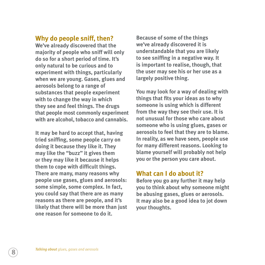#### **Why do people sniff, then?**

**We've already discovered that the majority of people who sniff will only do so for a short period of time. It's only natural to be curious and to experiment with things, particularly when we are young. Gases, glues and aerosols belong to a range of substances that people experiment with to change the way in which they see and feel things. The drugs that people most commonly experiment with are alcohol, tobacco and cannabis.**

**It may be hard to accept that, having tried sniffing, some people carry on doing it because they like it. They may like the "buzz" it gives them or they may like it because it helps them to cope with difficult things. There are many, many reasons why people use gases, glues and aerosols: some simple, some complex. In fact, you could say that there are as many reasons as there are people, and it's likely that there will be more than just one reason for someone to do it.**

**Because of some of the things we've already discovered it is understandable that you are likely to see sniffing in a negative way. It is important to realise, though, that the user may see his or her use as a largely positive thing.**

**You may look for a way of dealing with things that fits your ideas as to why someone is using which is different from the way they see their use. It is not unusual for those who care about someone who is using glues, gases or aerosols to feel that they are to blame. In reality, as we have seen, people use for many different reasons. Looking to blame yourself will probably not help you or the person you care about.**

### **What can I do about it?**

**Before you go any further it may help you to think about why someone might be abusing gases, glues or aerosols. It may also be a good idea to jot down your thoughts.**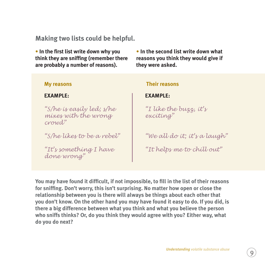# **Making two lists could be helpful.**

**• In the first list write down why you think they are sniffing (remember there are probably a number of reasons).**

**• In the second list write down what reasons you think they would give if they were asked.**

#### **My reasons**

#### **EXAMPLE:**

*"S/he is easily led; s/he mixes with the wrong crowd"*

*"S/he likes to be a rebel"*

*"It's something I have done wrong"*

#### **Their reasons**

#### **EXAMPLE:**

*"I like the buzz, it's exciting"*

*"We all do it; it's a laugh"*

*"It helps me to chill out"*

**You may have found it difficult, if not impossible, to fill in the list of their reasons for sniffing. Don't worry, this isn't surprising. No matter how open or close the relationship between you is there will always be things about each other that you don't know. On the other hand you may have found it easy to do. If you did, is there a big difference between what you think and what you believe the person who sniffs thinks? Or, do you think they would agree with you? Either way, what do you do next?**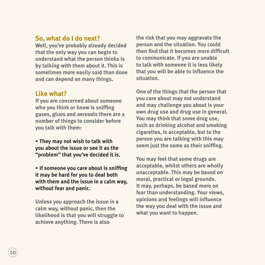# **So, what do I do next?**

**Well, you've probably already decided that the only way you can begin to understand what the person thinks is by talking with them about it. This is sometimes more easily said than done and can depend on many things.**

# **Like what?**

**If you are concerned about someone who you think or know is sniffing gases, glues and aerosols there are a number of things to consider before you talk with them:**

**• They may not wish to talk with you about the issue or see it as the "problem" that you've decided it is.**

**• If someone you care about is sniffing it may be hard for you to deal both with them and the issue in a calm way, without fear and panic.**

**Unless you approach the issue in a calm way, without panic, then the likelihood is that you will struggle to achieve anything. There is also**

**the risk that you may aggravate the person and the situation. You could then find that it becomes more difficult to communicate. If you are unable to talk with someone it is less likely that you will be able to influence the situation.**

**One of the things that the person that you care about may not understand and may challenge you about is your own drug use and drug use in general. You may think that some drug use, such as drinking alcohol and smoking cigarettes, is acceptable, but to the person you are talking with this may seem just the same as their sniffing.**

**You may feel that some drugs are acceptable, whilst others are wholly unacceptable. This may be based on moral, practical or legal grounds. It may, perhaps, be based more on fear than understanding. Your views, opinions and feelings will influence the way you deal with the issue and what you want to happen.**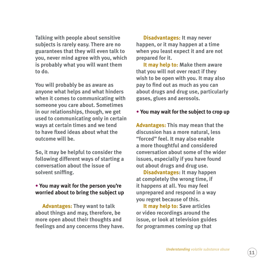**Talking with people about sensitive subjects is rarely easy. There are no guarantees that they will even talk to you, never mind agree with you, which is probably what you will want them to do.**

**You will probably be as aware as anyone what helps and what hinders when it comes to communicating with someone you care about. Sometimes in our relationships, though, we get used to communicating only in certain ways at certain times and we tend to have fixed ideas about what the outcome will be.**

**So, it may be helpful to consider the following different ways of starting a conversation about the issue of solvent sniffing.**

#### **• You may wait for the person you're worried about to bring the subject up**

**Advantages: They want to talk about things and may, therefore, be more open about their thoughts and feelings and any concerns they have.**

**Disadvantages: It may never happen, or it may happen at a time when you least expect it and are not prepared for it.** 

**It may help to: Make them aware that you will not over react if they wish to be open with you. It may also pay to find out as much as you can about drugs and drug use, particularly gases, glues and aerosols.**

#### **• You may wait for the subject to crop up**

**Advantages: This may mean that the discussion has a more natural, less "forced" feel. It may also enable a more thoughtful and considered conversation about some of the wider issues, especially if you have found out about drugs and drug use.**

**Disadvantages: It may happen at completely the wrong time, if it happens at all. You may feel unprepared and respond in a way you regret because of this.** 

**It may help to: Save articles or video recordings around the issue, or look at television guides for programmes coming up that**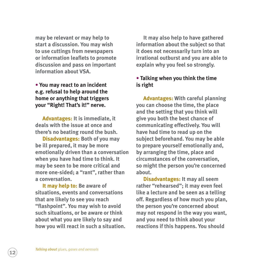**may be relevant or may help to start a discussion. You may wish to use cuttings from newspapers or information leaflets to promote discussion and pass on important information about VSA.**

**• You may react to an incident e.g. refusal to help around the home or anything that triggers your "Right! That's it!" nerve.**

**Advantages: It is immediate, it deals with the issue at once and there's no beating round the bush.**

**Disadvantages: Both of you may be ill prepared, it may be more emotionally driven than a conversation when you have had time to think. It may be seen to be more critical and more one-sided; a "rant", rather than a conversation.**

**It may help to: Be aware of situations, events and conversations that are likely to see you reach "flashpoint". You may wish to avoid such situations, or be aware or think about what you are likely to say and how you will react in such a situation.**

**It may also help to have gathered information about the subject so that it does not necessarily turn into an irrational outburst and you are able to explain why you feel so strongly.**

#### **• Talking when you think the time is right**

**Advantages: With careful planning you can choose the time, the place and the setting that you think will give you both the best chance of communicating effectively. You will have had time to read up on the subject beforehand. You may be able to prepare yourself emotionally and, by arranging the time, place and circumstances of the conversation, so might the person you're concerned about.**

**Disadvantages: It may all seem rather "rehearsed"; it may even feel like a lecture and be seen as a telling off. Regardless of how much you plan, the person you're concerned about may not respond in the way you want, and you need to think about your reactions if this happens. You should**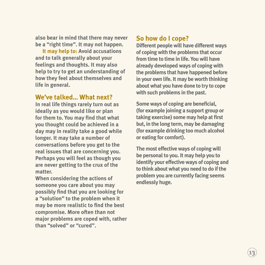**also bear in mind that there may never be a "right time". It may not happen.**

**It may help to: Avoid accusations and to talk generally about your feelings and thoughts. It may also help to try to get an understanding of how they feel about themselves and life in general.**

### **We've talked… What next?**

**In real life things rarely turn out as ideally as you would like or plan for them to. You may find that what you thought could be achieved in a day may in reality take a good while longer. It may take a number of conversations before you get to the real issues that are concerning you. Perhaps you will feel as though you are never getting to the crux of the matter.**

**When considering the actions of someone you care about you may possibly find that you are looking for a "solution" to the problem when it may be more realistic to find the best compromise. More often than not major problems are coped with, rather than "solved" or "cured".**

## **So how do I cope?**

**Different people will have different ways of coping with the problems that occur from time to time in life. You will have already developed ways of coping with the problems that have happened before in your own life. It may be worth thinking about what you have done to try to cope with such problems in the past.**

**Some ways of coping are beneficial, (for example joining a support group or taking exercise) some may help at first but, in the long term, may be damaging (for example drinking too much alcohol or eating for comfort).**

**The most effective ways of coping will be personal to you. It may help you to identify your effective ways of coping and to think about what you need to do if the problem you are currently facing seems endlessly huge.**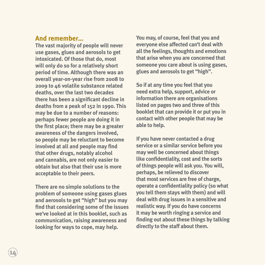### **And remember…**

**The vast majority of people will never use gases, glues and aerosols to get intoxicated. Of those that do, most will only do so for a relatively short period of time. Although there was an overall year-on-year rise from 2008 to 2009 to 46 volatile substance related deaths, over the last two decades there has been a significant decline in deaths from a peak of 152 in 1990. This may be due to a number of reasons: perhaps fewer people are doing it in the first place; there may be a greater awareness of the dangers involved, so people may be reluctant to become involved at all and people may find that other drugs, notably alcohol and cannabis, are not only easier to obtain but also that their use is more acceptable to their peers.**

**There are no simple solutions to the problem of someone using gases glues and aerosols to get "high" but you may find that considering some of the issues we've looked at in this booklet, such as communication, raising awareness and looking for ways to cope, may help.**

**You may, of course, feel that you and everyone else affected can't deal with all the feelings, thoughts and emotions that arise when you are concerned that someone you care about is using gases, glues and aerosols to get "high".**

**So if at any time you feel that you need extra help, support, advice or information there are organisations listed on pages two and three of this booklet that can provide it or put you in contact with other people that may be able to help.**

**If you have never contacted a drug service or a similar service before you may well be concerned about things like confidentiality, cost and the sorts of things people will ask you. You will, perhaps, be relieved to discover that most services are free of charge, operate a confidentiality policy (so what you tell them stays with them) and will deal with drug issues in a sensitive and realistic way. If you do have concerns it may be worth ringing a service and finding out about these things by talking directly to the staff about them.**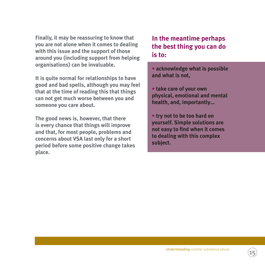**Finally, it may be reassuring to know that you are not alone when it comes to dealing with this issue and the support of those around you (including support from helping organisations) can be invaluable.**

**It is quite normal for relationships to have good and bad spells, although you may feel that at the time of reading this that things can not get much worse between you and someone you care about.**

**The good news is, however, that there is every chance that things will improve and that, for most people, problems and concerns about VSA last only for a short period before some positive change takes place.**

# **In the meantime perhaps the best thing you can do is to:**

- **acknowledge what is possible and what is not,**
- **take care of your own physical, emotional and mental health, and, importantly…**
- **try not to be too hard on yourself. Simple solutions are not easy to find when it comes to dealing with this complex subject.**